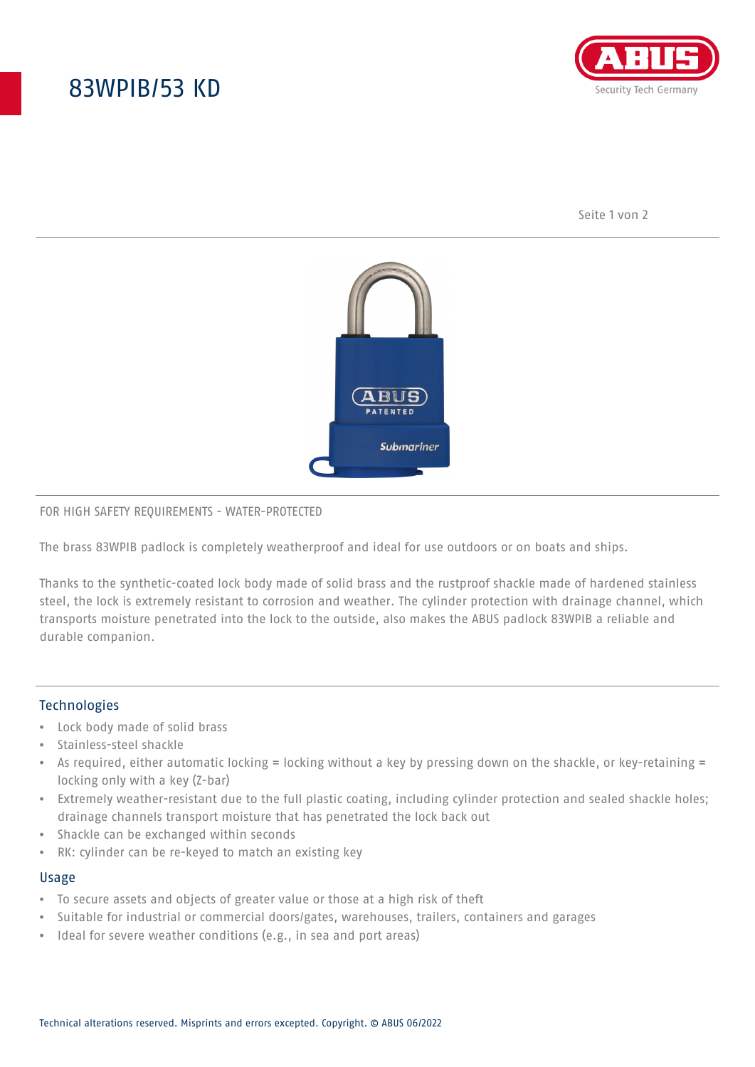# 83WPIB/53 KD



Seite 1 von 2



### FOR HIGH SAFETY REQUIREMENTS - WATER-PROTECTED

The brass 83WPIB padlock is completely weatherproof and ideal for use outdoors or on boats and ships.

Thanks to the synthetic-coated lock body made of solid brass and the rustproof shackle made of hardened stainless steel, the lock is extremely resistant to corrosion and weather. The cylinder protection with drainage channel, which transports moisture penetrated into the lock to the outside, also makes the ABUS padlock 83WPIB a reliable and durable companion.

## **Technologies**

- Lock body made of solid brass
- Stainless-steel shackle
- As required, either automatic locking = locking without a key by pressing down on the shackle, or key-retaining = locking only with a key (Z-bar)
- Extremely weather-resistant due to the full plastic coating, including cylinder protection and sealed shackle holes; drainage channels transport moisture that has penetrated the lock back out
- Shackle can be exchanged within seconds
- RK: cylinder can be re-keyed to match an existing key

#### Usage

- To secure assets and objects of greater value or those at a high risk of theft
- Suitable for industrial or commercial doors/gates, warehouses, trailers, containers and garages
- Ideal for severe weather conditions (e.g., in sea and port areas)